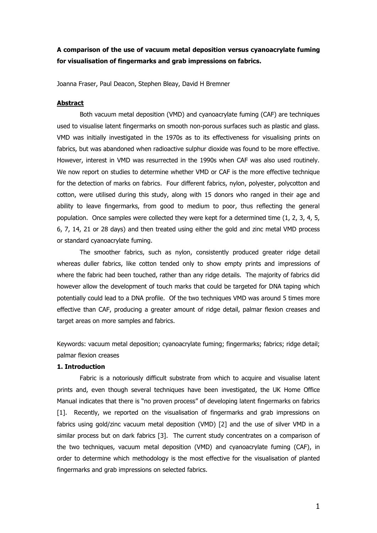# **A comparison of the use of vacuum metal deposition versus cyanoacrylate fuming for visualisation of fingermarks and grab impressions on fabrics.**

Joanna Fraser, Paul Deacon, Stephen Bleay, David H Bremner

## **Abstract**

Both vacuum metal deposition (VMD) and cyanoacrylate fuming (CAF) are techniques used to visualise latent fingermarks on smooth non-porous surfaces such as plastic and glass. VMD was initially investigated in the 1970s as to its effectiveness for visualising prints on fabrics, but was abandoned when radioactive sulphur dioxide was found to be more effective. However, interest in VMD was resurrected in the 1990s when CAF was also used routinely. We now report on studies to determine whether VMD or CAF is the more effective technique for the detection of marks on fabrics. Four different fabrics, nylon, polyester, polycotton and cotton, were utilised during this study, along with 15 donors who ranged in their age and ability to leave fingermarks, from good to medium to poor, thus reflecting the general population. Once samples were collected they were kept for a determined time (1, 2, 3, 4, 5, 6, 7, 14, 21 or 28 days) and then treated using either the gold and zinc metal VMD process or standard cyanoacrylate fuming.

The smoother fabrics, such as nylon, consistently produced greater ridge detail whereas duller fabrics, like cotton tended only to show empty prints and impressions of where the fabric had been touched, rather than any ridge details. The majority of fabrics did however allow the development of touch marks that could be targeted for DNA taping which potentially could lead to a DNA profile. Of the two techniques VMD was around 5 times more effective than CAF, producing a greater amount of ridge detail, palmar flexion creases and target areas on more samples and fabrics.

Keywords: vacuum metal deposition; cyanoacrylate fuming; fingermarks; fabrics; ridge detail; palmar flexion creases

## **1. Introduction**

Fabric is a notoriously difficult substrate from which to acquire and visualise latent prints and, even though several techniques have been investigated, the UK Home Office Manual indicates that there is "no proven process" of developing latent fingermarks on fabrics [1]. Recently, we reported on the visualisation of fingermarks and grab impressions on fabrics using gold/zinc vacuum metal deposition (VMD) [2] and the use of silver VMD in a similar process but on dark fabrics [3]. The current study concentrates on a comparison of the two techniques, vacuum metal deposition (VMD) and cyanoacrylate fuming (CAF), in order to determine which methodology is the most effective for the visualisation of planted fingermarks and grab impressions on selected fabrics.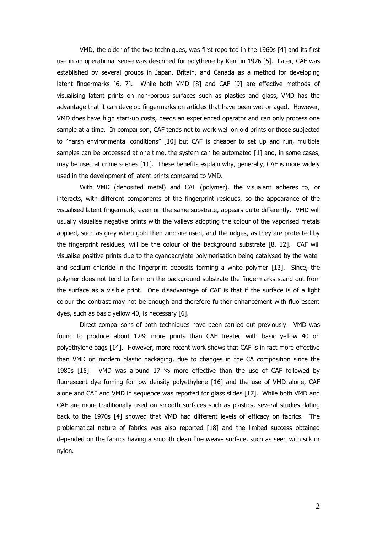VMD, the older of the two techniques, was first reported in the 1960s [4] and its first use in an operational sense was described for polythene by Kent in 1976 [5]. Later, CAF was established by several groups in Japan, Britain, and Canada as a method for developing latent fingermarks [6, 7]. While both VMD [8] and CAF [9] are effective methods of visualising latent prints on non-porous surfaces such as plastics and glass, VMD has the advantage that it can develop fingermarks on articles that have been wet or aged. However, VMD does have high start-up costs, needs an experienced operator and can only process one sample at a time. In comparison, CAF tends not to work well on old prints or those subjected to "harsh environmental conditions" [10] but CAF is cheaper to set up and run, multiple samples can be processed at one time, the system can be automated [1] and, in some cases, may be used at crime scenes [11]. These benefits explain why, generally, CAF is more widely used in the development of latent prints compared to VMD.

With VMD (deposited metal) and CAF (polymer), the visualant adheres to, or interacts, with different components of the fingerprint residues, so the appearance of the visualised latent fingermark, even on the same substrate, appears quite differently. VMD will usually visualise negative prints with the valleys adopting the colour of the vaporised metals applied, such as grey when gold then zinc are used, and the ridges, as they are protected by the fingerprint residues, will be the colour of the background substrate [8, 12]. CAF will visualise positive prints due to the cyanoacrylate polymerisation being catalysed by the water and sodium chloride in the fingerprint deposits forming a white polymer [13]. Since, the polymer does not tend to form on the background substrate the fingermarks stand out from the surface as a visible print. One disadvantage of CAF is that if the surface is of a light colour the contrast may not be enough and therefore further enhancement with fluorescent dyes, such as basic yellow 40, is necessary [6].

Direct comparisons of both techniques have been carried out previously. VMD was found to produce about 12% more prints than CAF treated with basic yellow 40 on polyethylene bags [14]. However, more recent work shows that CAF is in fact more effective than VMD on modern plastic packaging, due to changes in the CA composition since the 1980s [15]. VMD was around 17 % more effective than the use of CAF followed by fluorescent dye fuming for low density polyethylene [16] and the use of VMD alone, CAF alone and CAF and VMD in sequence was reported for glass slides [17]. While both VMD and CAF are more traditionally used on smooth surfaces such as plastics, several studies dating back to the 1970s [4] showed that VMD had different levels of efficacy on fabrics. The problematical nature of fabrics was also reported [18] and the limited success obtained depended on the fabrics having a smooth clean fine weave surface, such as seen with silk or nylon.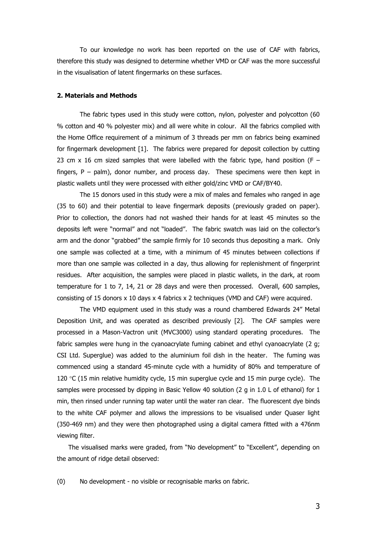To our knowledge no work has been reported on the use of CAF with fabrics, therefore this study was designed to determine whether VMD or CAF was the more successful in the visualisation of latent fingermarks on these surfaces.

## **2. Materials and Methods**

The fabric types used in this study were cotton, nylon, polyester and polycotton (60 % cotton and 40 % polyester mix) and all were white in colour. All the fabrics complied with the Home Office requirement of a minimum of 3 threads per mm on fabrics being examined for fingermark development [1]. The fabrics were prepared for deposit collection by cutting 23 cm x 16 cm sized samples that were labelled with the fabric type, hand position (F – fingers,  $P -$  palm), donor number, and process day. These specimens were then kept in plastic wallets until they were processed with either gold/zinc VMD or CAF/BY40.

The 15 donors used in this study were a mix of males and females who ranged in age (35 to 60) and their potential to leave fingermark deposits (previously graded on paper). Prior to collection, the donors had not washed their hands for at least 45 minutes so the deposits left were "normal" and not "loaded". The fabric swatch was laid on the collector's arm and the donor "grabbed" the sample firmly for 10 seconds thus depositing a mark. Only one sample was collected at a time, with a minimum of 45 minutes between collections if more than one sample was collected in a day, thus allowing for replenishment of fingerprint residues. After acquisition, the samples were placed in plastic wallets, in the dark, at room temperature for 1 to 7, 14, 21 or 28 days and were then processed. Overall, 600 samples, consisting of 15 donors x 10 days x 4 fabrics x 2 techniques (VMD and CAF) were acquired.

The VMD equipment used in this study was a round chambered Edwards 24" Metal Deposition Unit, and was operated as described previously [2]. The CAF samples were processed in a Mason-Vactron unit (MVC3000) using standard operating procedures. The fabric samples were hung in the cyanoacrylate fuming cabinet and ethyl cyanoacrylate (2 g; CSI Ltd. Superglue) was added to the aluminium foil dish in the heater. The fuming was commenced using a standard 45-minute cycle with a humidity of 80% and temperature of 120  $°C$  (15 min relative humidity cycle, 15 min superglue cycle and 15 min purge cycle). The samples were processed by dipping in Basic Yellow 40 solution (2 g in 1.0 L of ethanol) for 1 min, then rinsed under running tap water until the water ran clear. The fluorescent dye binds to the white CAF polymer and allows the impressions to be visualised under Quaser light (350-469 nm) and they were then photographed using a digital camera fitted with a 476nm viewing filter.

The visualised marks were graded, from "No development" to "Excellent", depending on the amount of ridge detail observed:

(0) No development - no visible or recognisable marks on fabric.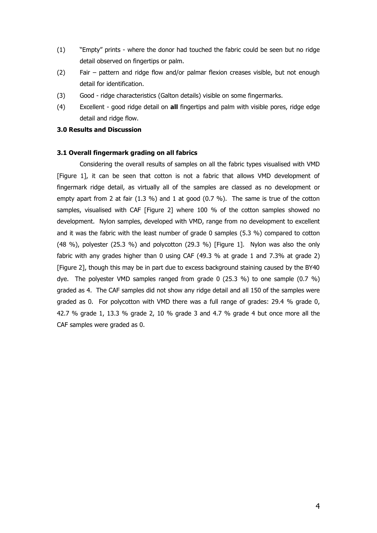- (1) "Empty" prints where the donor had touched the fabric could be seen but no ridge detail observed on fingertips or palm.
- (2) Fair pattern and ridge flow and/or palmar flexion creases visible, but not enough detail for identification.
- (3) Good ridge characteristics (Galton details) visible on some fingermarks.
- (4) Excellent good ridge detail on **all** fingertips and palm with visible pores, ridge edge detail and ridge flow.

# **3.0 Results and Discussion**

#### **3.1 Overall fingermark grading on all fabrics**

Considering the overall results of samples on all the fabric types visualised with VMD [\[Figure 1\]](#page-4-0), it can be seen that cotton is not a fabric that allows VMD development of fingermark ridge detail, as virtually all of the samples are classed as no development or empty apart from 2 at fair (1.3 %) and 1 at good (0.7 %). The same is true of the cotton samples, visualised with CAF [\[Figure 2\]](#page-4-1) where 100 % of the cotton samples showed no development. Nylon samples, developed with VMD, range from no development to excellent and it was the fabric with the least number of grade 0 samples (5.3 %) compared to cotton (48 %), polyester (25.3 %) and polycotton (29.3 %) [\[Figure 1\]](#page-4-0). Nylon was also the only fabric with any grades higher than 0 using CAF (49.3 % at grade 1 and 7.3% at grade 2) [\[Figure 2\]](#page-4-1), though this may be in part due to excess background staining caused by the BY40 dye. The polyester VMD samples ranged from grade 0 (25.3 %) to one sample (0.7 %) graded as 4. The CAF samples did not show any ridge detail and all 150 of the samples were graded as 0. For polycotton with VMD there was a full range of grades: 29.4 % grade 0, 42.7 % grade 1, 13.3 % grade 2, 10 % grade 3 and 4.7 % grade 4 but once more all the CAF samples were graded as 0.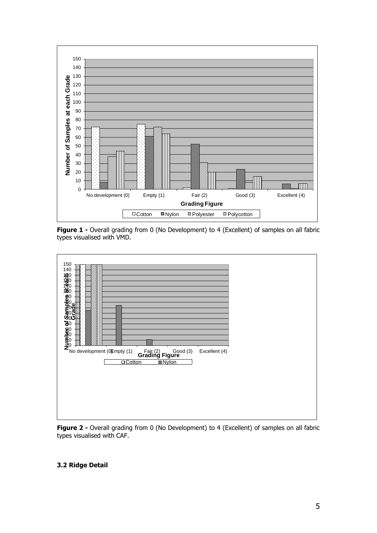

<span id="page-4-0"></span>**Figure 1 -** Overall grading from 0 (No Development) to 4 (Excellent) of samples on all fabric types visualised with VMD.



<span id="page-4-1"></span>**Figure 2 -** Overall grading from 0 (No Development) to 4 (Excellent) of samples on all fabric types visualised with CAF.

# **3.2 Ridge Detail**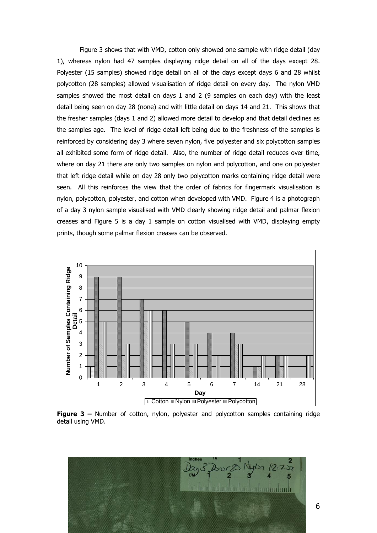[Figure 3](#page-5-0) shows that with VMD, cotton only showed one sample with ridge detail (day 1), whereas nylon had 47 samples displaying ridge detail on all of the days except 28. Polyester (15 samples) showed ridge detail on all of the days except days 6 and 28 whilst polycotton (28 samples) allowed visualisation of ridge detail on every day. The nylon VMD samples showed the most detail on days 1 and 2 (9 samples on each day) with the least detail being seen on day 28 (none) and with little detail on days 14 and 21. This shows that the fresher samples (days 1 and 2) allowed more detail to develop and that detail declines as the samples age. The level of ridge detail left being due to the freshness of the samples is reinforced by considering day 3 where seven nylon, five polyester and six polycotton samples all exhibited some form of ridge detail. Also, the number of ridge detail reduces over time, where on day 21 there are only two samples on nylon and polycotton, and one on polyester that left ridge detail while on day 28 only two polycotton marks containing ridge detail were seen. All this reinforces the view that the order of fabrics for fingermark visualisation is nylon, polycotton, polyester, and cotton when developed with VMD. Figure 4 is a photograph of a day 3 nylon sample visualised with VMD clearly showing ridge detail and palmar flexion creases and Figure 5 is a day 1 sample on cotton visualised with VMD, displaying empty prints, though some palmar flexion creases can be observed.



<span id="page-5-0"></span>**Figure 3 –** Number of cotton, nylon, polyester and polycotton samples containing ridge detail using VMD.

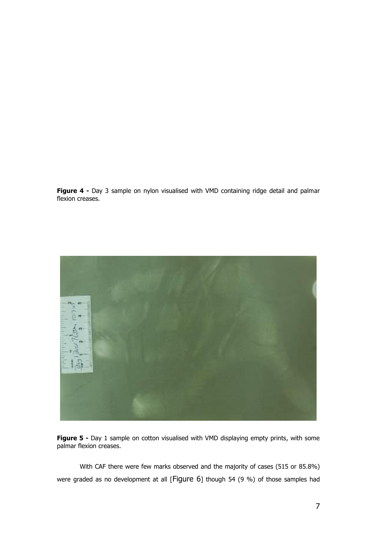**Figure 4** - Day 3 sample on nylon visualised with VMD containing ridge detail and palmar flexion creases.



**Figure 5** - Day 1 sample on cotton visualised with VMD displaying empty prints, with some palmar flexion creases.

With CAF there were few marks observed and the majority of cases (515 or 85.8%) were graded as no development at all [[Figure 6](#page-7-0)] though 54 (9 %) of those samples had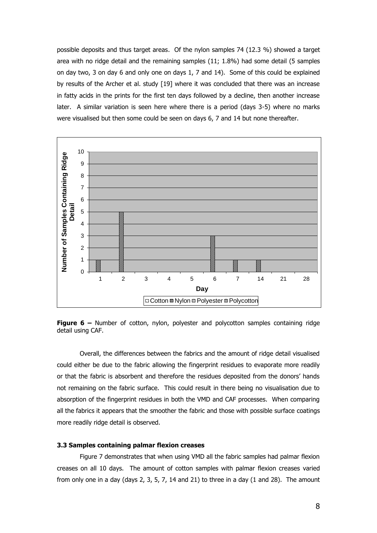possible deposits and thus target areas. Of the nylon samples 74 (12.3 %) showed a target area with no ridge detail and the remaining samples (11; 1.8%) had some detail (5 samples on day two, 3 on day 6 and only one on days 1, 7 and 14). Some of this could be explained by results of the Archer et al. study [19] where it was concluded that there was an increase in fatty acids in the prints for the first ten days followed by a decline, then another increase later. A similar variation is seen here where there is a period (days 3-5) where no marks were visualised but then some could be seen on days 6, 7 and 14 but none thereafter.



<span id="page-7-0"></span>**Figure 6 –** Number of cotton, nylon, polyester and polycotton samples containing ridge detail using CAF.

Overall, the differences between the fabrics and the amount of ridge detail visualised could either be due to the fabric allowing the fingerprint residues to evaporate more readily or that the fabric is absorbent and therefore the residues deposited from the donors' hands not remaining on the fabric surface. This could result in there being no visualisation due to absorption of the fingerprint residues in both the VMD and CAF processes. When comparing all the fabrics it appears that the smoother the fabric and those with possible surface coatings more readily ridge detail is observed.

## **3.3 Samples containing palmar flexion creases**

[Figure 7](#page-8-0) demonstrates that when using VMD all the fabric samples had palmar flexion creases on all 10 days. The amount of cotton samples with palmar flexion creases varied from only one in a day (days 2, 3, 5, 7, 14 and 21) to three in a day (1 and 28). The amount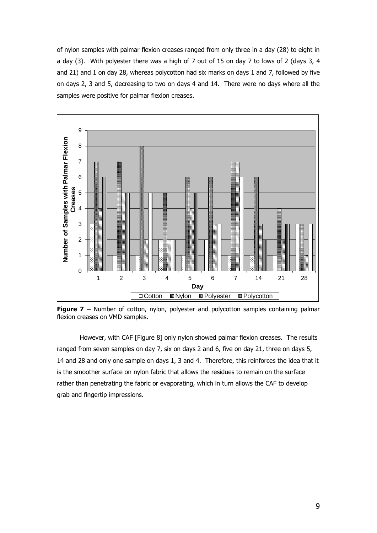of nylon samples with palmar flexion creases ranged from only three in a day (28) to eight in a day (3). With polyester there was a high of 7 out of 15 on day 7 to lows of 2 (days 3, 4 and 21) and 1 on day 28, whereas polycotton had six marks on days 1 and 7, followed by five on days 2, 3 and 5, decreasing to two on days 4 and 14. There were no days where all the samples were positive for palmar flexion creases.



<span id="page-8-0"></span>**Figure 7 –** Number of cotton, nylon, polyester and polycotton samples containing palmar flexion creases on VMD samples.

However, with CAF [\[Figure 8\]](#page-9-0) only nylon showed palmar flexion creases. The results ranged from seven samples on day 7, six on days 2 and 6, five on day 21, three on days 5, 14 and 28 and only one sample on days 1, 3 and 4. Therefore, this reinforces the idea that it is the smoother surface on nylon fabric that allows the residues to remain on the surface rather than penetrating the fabric or evaporating, which in turn allows the CAF to develop grab and fingertip impressions.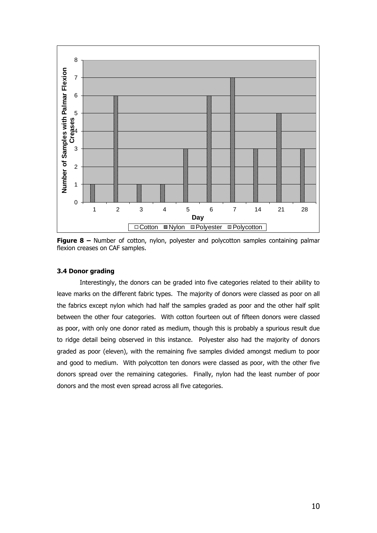

<span id="page-9-0"></span>**Figure 8 –** Number of cotton, nylon, polyester and polycotton samples containing palmar flexion creases on CAF samples.

## **3.4 Donor grading**

Interestingly, the donors can be graded into five categories related to their ability to leave marks on the different fabric types. The majority of donors were classed as poor on all the fabrics except nylon which had half the samples graded as poor and the other half split between the other four categories. With cotton fourteen out of fifteen donors were classed as poor, with only one donor rated as medium, though this is probably a spurious result due to ridge detail being observed in this instance. Polyester also had the majority of donors graded as poor (eleven), with the remaining five samples divided amongst medium to poor and good to medium. With polycotton ten donors were classed as poor, with the other five donors spread over the remaining categories. Finally, nylon had the least number of poor donors and the most even spread across all five categories.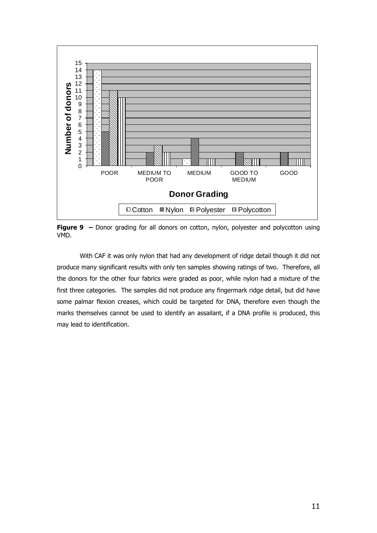

**Figure 9 –** Donor grading for all donors on cotton, nylon, polyester and polycotton using VMD.

With CAF it was only nylon that had any development of ridge detail though it did not produce many significant results with only ten samples showing ratings of two. Therefore, all the donors for the other four fabrics were graded as poor, while nylon had a mixture of the first three categories. The samples did not produce any fingermark ridge detail, but did have some palmar flexion creases, which could be targeted for DNA, therefore even though the marks themselves cannot be used to identify an assailant, if a DNA profile is produced, this may lead to identification.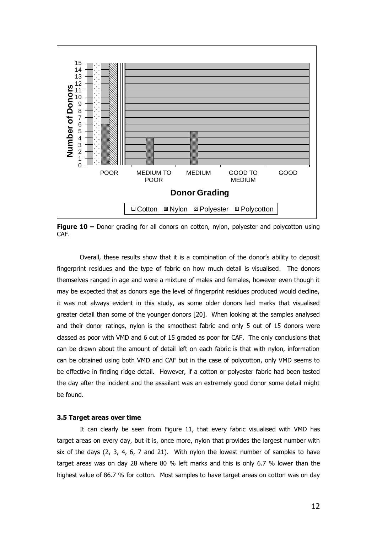

**Figure 10** – Donor grading for all donors on cotton, nylon, polyester and polycotton using CAF.

Overall, these results show that it is a combination of the donor's ability to deposit fingerprint residues and the type of fabric on how much detail is visualised. The donors themselves ranged in age and were a mixture of males and females, however even though it may be expected that as donors age the level of fingerprint residues produced would decline, it was not always evident in this study, as some older donors laid marks that visualised greater detail than some of the younger donors [20]. When looking at the samples analysed and their donor ratings, nylon is the smoothest fabric and only 5 out of 15 donors were classed as poor with VMD and 6 out of 15 graded as poor for CAF. The only conclusions that can be drawn about the amount of detail left on each fabric is that with nylon, information can be obtained using both VMD and CAF but in the case of polycotton, only VMD seems to be effective in finding ridge detail. However, if a cotton or polyester fabric had been tested the day after the incident and the assailant was an extremely good donor some detail might be found.

#### **3.5 Target areas over time**

It can clearly be seen from [Figure 11,](#page-12-0) that every fabric visualised with VMD has target areas on every day, but it is, once more, nylon that provides the largest number with six of the days  $(2, 3, 4, 6, 7, 2)$  and  $(21)$ . With nylon the lowest number of samples to have target areas was on day 28 where 80 % left marks and this is only 6.7 % lower than the highest value of 86.7 % for cotton. Most samples to have target areas on cotton was on day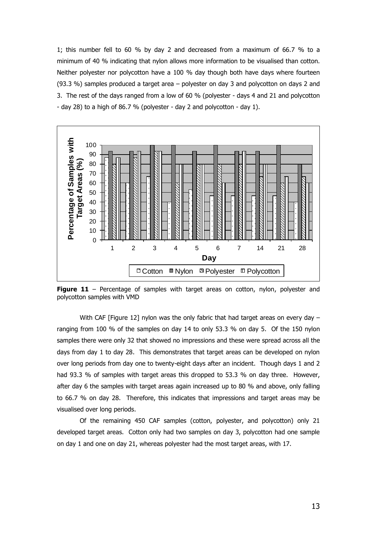1; this number fell to 60 % by day 2 and decreased from a maximum of 66.7 % to a minimum of 40 % indicating that nylon allows more information to be visualised than cotton. Neither polyester nor polycotton have a 100 % day though both have days where fourteen (93.3 %) samples produced a target area – polyester on day 3 and polycotton on days 2 and 3. The rest of the days ranged from a low of 60 % (polyester - days 4 and 21 and polycotton - day 28) to a high of 86.7 % (polyester - day 2 and polycotton - day 1).



<span id="page-12-0"></span>**Figure 11** – Percentage of samples with target areas on cotton, nylon, polyester and polycotton samples with VMD

With CAF [\[Figure 12\]](#page-13-0) nylon was the only fabric that had target areas on every day  $$ ranging from 100 % of the samples on day 14 to only 53.3 % on day 5. Of the 150 nylon samples there were only 32 that showed no impressions and these were spread across all the days from day 1 to day 28. This demonstrates that target areas can be developed on nylon over long periods from day one to twenty-eight days after an incident. Though days 1 and 2 had 93.3 % of samples with target areas this dropped to 53.3 % on day three. However, after day 6 the samples with target areas again increased up to 80 % and above, only falling to 66.7 % on day 28. Therefore, this indicates that impressions and target areas may be visualised over long periods.

Of the remaining 450 CAF samples (cotton, polyester, and polycotton) only 21 developed target areas. Cotton only had two samples on day 3, polycotton had one sample on day 1 and one on day 21, whereas polyester had the most target areas, with 17.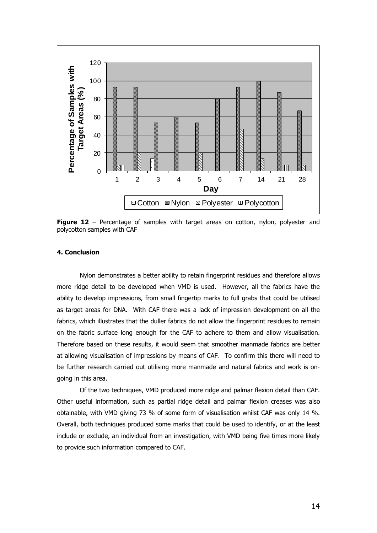

<span id="page-13-0"></span>**Figure 12** – Percentage of samples with target areas on cotton, nylon, polyester and polycotton samples with CAF

## **4. Conclusion**

Nylon demonstrates a better ability to retain fingerprint residues and therefore allows more ridge detail to be developed when VMD is used. However, all the fabrics have the ability to develop impressions, from small fingertip marks to full grabs that could be utilised as target areas for DNA. With CAF there was a lack of impression development on all the fabrics, which illustrates that the duller fabrics do not allow the fingerprint residues to remain on the fabric surface long enough for the CAF to adhere to them and allow visualisation. Therefore based on these results, it would seem that smoother manmade fabrics are better at allowing visualisation of impressions by means of CAF. To confirm this there will need to be further research carried out utilising more manmade and natural fabrics and work is ongoing in this area.

Of the two techniques, VMD produced more ridge and palmar flexion detail than CAF. Other useful information, such as partial ridge detail and palmar flexion creases was also obtainable, with VMD giving 73 % of some form of visualisation whilst CAF was only 14 %. Overall, both techniques produced some marks that could be used to identify, or at the least include or exclude, an individual from an investigation, with VMD being five times more likely to provide such information compared to CAF.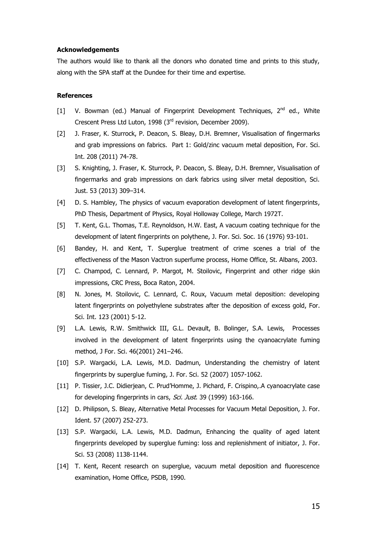## **Acknowledgements**

The authors would like to thank all the donors who donated time and prints to this study, along with the SPA staff at the Dundee for their time and expertise.

# **References**

- [1] V. Bowman (ed.) Manual of Fingerprint Development Techniques,  $2^{nd}$  ed., White Crescent Press Ltd Luton, 1998 (3rd revision, December 2009).
- [2] J. Fraser, K. Sturrock, P. Deacon, S. Bleay, D.H. Bremner, Visualisation of fingermarks and grab impressions on fabrics. Part 1: Gold/zinc vacuum metal deposition, For. Sci. Int. 208 (2011) 74-78.
- [3] S. Knighting, J. Fraser, K. Sturrock, P. Deacon, S. Bleay, D.H. Bremner, Visualisation of fingermarks and grab impressions on dark fabrics using silver metal deposition, Sci. Just. 53 (2013) 309–314.
- [4] D. S. Hambley, The physics of vacuum evaporation development of latent fingerprints, PhD Thesis, Department of Physics, Royal Holloway College, March 1972T.
- [5] T. Kent, G.L. Thomas, T.E. Reynoldson, H.W. East, A vacuum coating technique for the development of latent fingerprints on polythene, J. For. Sci. Soc. 16 (1976) 93-101.
- [6] Bandey, H. and Kent, T. Superglue treatment of crime scenes a trial of the effectiveness of the Mason Vactron superfume process, Home Office, St. Albans, 2003.
- [7] C. Champod, C. Lennard, P. Margot, M. Stoilovic, Fingerprint and other ridge skin impressions, CRC Press, Boca Raton, 2004.
- [8] N. Jones, M. Stoilovic, C. Lennard, C. Roux, Vacuum metal deposition: developing latent fingerprints on polyethylene substrates after the deposition of excess gold, For. Sci. Int. 123 (2001) 5-12.
- [9] L.A. Lewis, R.W. Smithwick III, G.L. Devault, B. Bolinger, S.A. Lewis, Processes involved in the development of latent fingerprints using the cyanoacrylate fuming method, J For. Sci. 46(2001) 241–246.
- [10] S.P. Wargacki, L.A. Lewis, M.D. Dadmun, Understanding the chemistry of latent fingerprints by superglue fuming, J. For. Sci. 52 (2007) 1057-1062.
- [11] P. Tissier, J.C. Didierjean, C. Prud'Homme, J. Pichard, F. Crispino,.A cyanoacrylate case for developing fingerprints in cars, Sci. Just. 39 (1999) 163-166.
- [12] D. Philipson, S. Bleay, Alternative Metal Processes for Vacuum Metal Deposition, J. For. Ident. 57 (2007) 252-273.
- [13] S.P. Wargacki, L.A. Lewis, M.D. Dadmun, Enhancing the quality of aged latent fingerprints developed by superglue fuming: loss and replenishment of initiator, J. For. Sci. 53 (2008) 1138-1144.
- [14] T. Kent, Recent research on superglue, vacuum metal deposition and fluorescence examination, Home Office, PSDB, 1990.